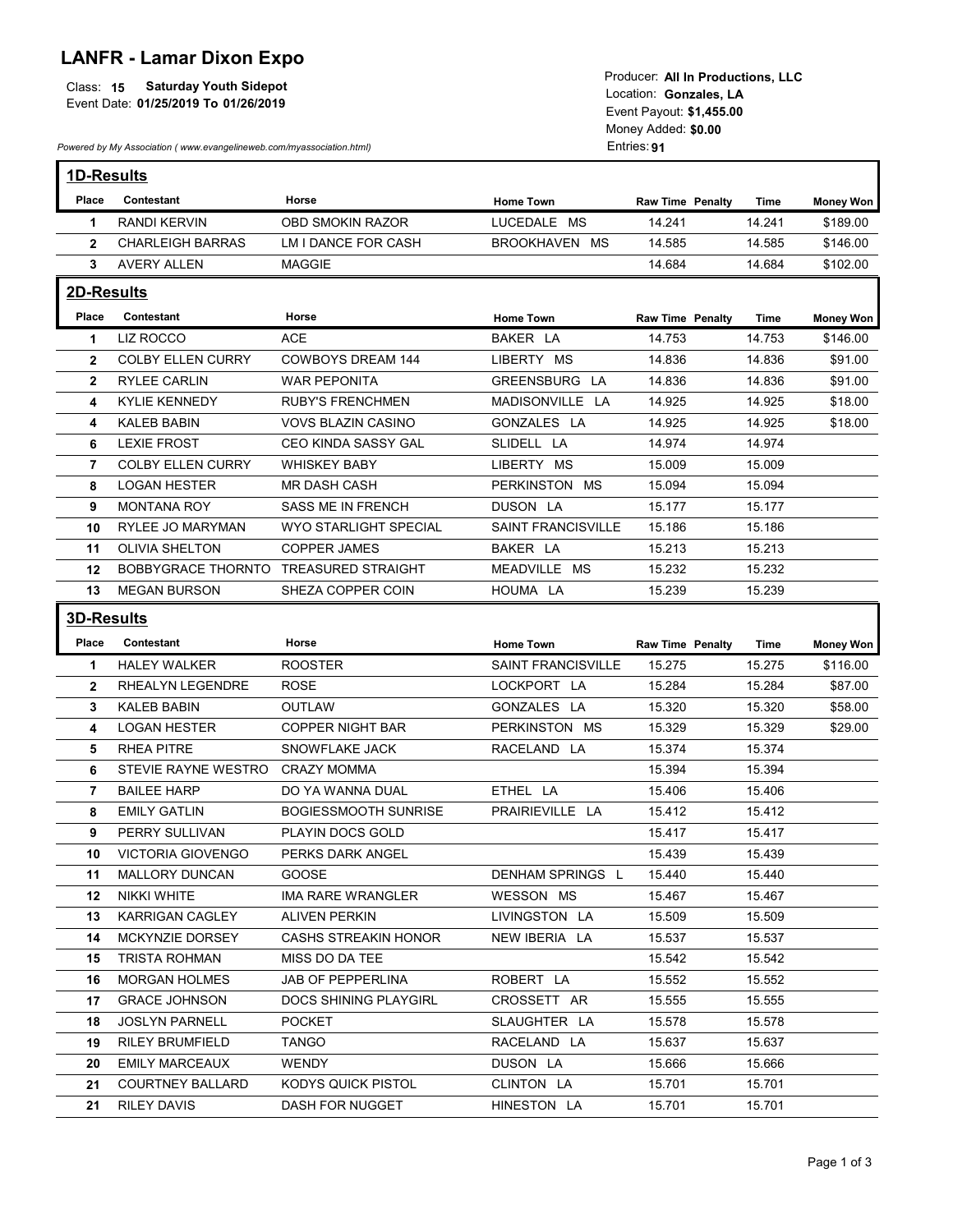## LANFR - Lamar Dixon Expo

|                                            | I TOUUCCI. AIT III FTUUUCHUIIS. LLU |
|--------------------------------------------|-------------------------------------|
| Class: 15<br><b>Saturday Youth Sidepot</b> | ∟ocation:<br>Gonzales. LA           |
| Event Date: 01/25/2019 To 01/26/2019       |                                     |
|                                            | Event Povout: \$1,455.00            |

|                  | <b>LANFR - Lamar Dixon Expo</b><br><b>Saturday Youth Sidepot</b><br>Class: 15<br>Event Date: 01/25/2019 To 01/26/2019<br>Powered by My Association (www.evangelineweb.com/myassociation.html) |                                                   |                                | Producer: All In Productions, LLC<br>Location: Gonzales, LA<br>Event Payout: \$1,455.00<br>Money Added: \$0.00<br>Entries: 91 |                  |                              |
|------------------|-----------------------------------------------------------------------------------------------------------------------------------------------------------------------------------------------|---------------------------------------------------|--------------------------------|-------------------------------------------------------------------------------------------------------------------------------|------------------|------------------------------|
| 1D-Results       |                                                                                                                                                                                               |                                                   |                                |                                                                                                                               |                  |                              |
| Place            | Contestant                                                                                                                                                                                    | Horse                                             | <b>Home Town</b>               | <b>Raw Time Penalty</b>                                                                                                       | Time             | <b>Money Won</b>             |
| -1               | <b>RANDI KERVIN</b>                                                                                                                                                                           | OBD SMOKIN RAZOR                                  | LUCEDALE MS                    | 14.241                                                                                                                        | 14.241           | \$189.00                     |
| $\mathbf{2}$     | <b>CHARLEIGH BARRAS</b><br><b>AVERY ALLEN</b>                                                                                                                                                 | LM I DANCE FOR CASH<br><b>MAGGIE</b>              | BROOKHAVEN MS                  | 14.585<br>14.684                                                                                                              | 14.585<br>14.684 | \$146.00<br>\$102.00         |
| $\mathbf{3}$     |                                                                                                                                                                                               |                                                   |                                |                                                                                                                               |                  |                              |
| 2D-Results       |                                                                                                                                                                                               |                                                   |                                |                                                                                                                               |                  |                              |
| Place<br>1       | Contestant<br>LIZ ROCCO                                                                                                                                                                       | Horse<br><b>ACE</b>                               | <b>Home Town</b><br>BAKER LA   | <b>Raw Time Penalty</b><br>14.753                                                                                             | Time<br>14.753   | <b>Money Won</b><br>\$146.00 |
| $\mathbf{2}$     | <b>COLBY ELLEN CURRY</b>                                                                                                                                                                      | <b>COWBOYS DREAM 144</b>                          | LIBERTY MS                     | 14.836                                                                                                                        | 14.836           | \$91.00                      |
| $\mathbf{2}$     | RYLEE CARLIN                                                                                                                                                                                  | <b>WAR PEPONITA</b>                               | GREENSBURG LA                  | 14.836                                                                                                                        | 14.836           | \$91.00                      |
| 4                | KYLIE KENNEDY                                                                                                                                                                                 | <b>RUBY'S FRENCHMEN</b>                           | MADISONVILLE LA                | 14.925                                                                                                                        | 14.925           | \$18.00                      |
| 4                | <b>KALEB BABIN</b>                                                                                                                                                                            | <b>VOVS BLAZIN CASINO</b>                         | GONZALES LA                    | 14.925                                                                                                                        | 14.925           | \$18.00                      |
| 6                | <b>LEXIE FROST</b>                                                                                                                                                                            | CEO KINDA SASSY GAL                               | SLIDELL LA                     | 14.974                                                                                                                        | 14.974           |                              |
| $\overline{7}$   | <b>COLBY ELLEN CURRY</b>                                                                                                                                                                      | <b>WHISKEY BABY</b>                               | LIBERTY MS                     | 15.009                                                                                                                        | 15.009           |                              |
| 8                | <b>LOGAN HESTER</b>                                                                                                                                                                           | <b>MR DASH CASH</b>                               | PERKINSTON MS                  | 15.094                                                                                                                        | 15.094           |                              |
| 9<br>10          | <b>MONTANA ROY</b><br>RYLEE JO MARYMAN                                                                                                                                                        | SASS ME IN FRENCH<br><b>WYO STARLIGHT SPECIAL</b> | DUSON LA<br>SAINT FRANCISVILLE | 15.177<br>15.186                                                                                                              | 15.177<br>15.186 |                              |
| 11               | OLIVIA SHELTON                                                                                                                                                                                | <b>COPPER JAMES</b>                               | BAKER LA                       | 15.213                                                                                                                        | 15.213           |                              |
| 12 <sup>12</sup> | BOBBYGRACE THORNTO TREASURED STRAIGHT                                                                                                                                                         |                                                   | MEADVILLE MS                   | 15.232                                                                                                                        | 15.232           |                              |
|                  | 13 MEGAN BURSON                                                                                                                                                                               | SHEZA COPPER COIN                                 | HOUMA LA                       | 15.239                                                                                                                        | 15.239           |                              |
| 3D-Results       |                                                                                                                                                                                               |                                                   |                                |                                                                                                                               |                  |                              |
| Place            | Contestant                                                                                                                                                                                    | Horse                                             | <b>Home Town</b>               | <b>Raw Time Penalty</b>                                                                                                       | Time             | <b>Money Won</b>             |
| $\mathbf{1}$     | <b>HALEY WALKER</b>                                                                                                                                                                           | <b>ROOSTER</b>                                    | SAINT FRANCISVILLE             | 15.275                                                                                                                        | 15.275           | \$116.00                     |
| $\mathbf{2}$     | RHEALYN LEGENDRE                                                                                                                                                                              | <b>ROSE</b>                                       | LOCKPORT LA                    | 15.284                                                                                                                        | 15.284           | \$87.00                      |
| 3                | <b>KALEB BABIN</b>                                                                                                                                                                            | OUTLAW                                            | GONZALES LA                    | 15.320                                                                                                                        | 15.320           | \$58.00                      |
| 4                | <b>LOGAN HESTER</b>                                                                                                                                                                           | COPPER NIGHT BAR                                  | PERKINSTON MS                  | 15.329                                                                                                                        | 15.329           | \$29.00                      |
| 5                | RHEA PITRE                                                                                                                                                                                    | SNOWFLAKE JACK                                    | RACELAND LA                    | 15.374                                                                                                                        | 15.374           |                              |
| 6                | STEVIE RAYNE WESTRO CRAZY MOMMA                                                                                                                                                               |                                                   |                                | 15.394                                                                                                                        | 15.394           |                              |
| $\overline{7}$   | <b>BAILEE HARP</b>                                                                                                                                                                            | DO YA WANNA DUAL                                  | ETHEL LA                       | 15.406                                                                                                                        | 15.406           |                              |
| 8<br>9           | <b>EMILY GATLIN</b><br>PERRY SULLIVAN                                                                                                                                                         | <b>BOGIESSMOOTH SUNRISE</b><br>PLAYIN DOCS GOLD   | PRAIRIEVILLE LA                | 15.412<br>15.417                                                                                                              | 15.412<br>15.417 |                              |
| 10               | <b>VICTORIA GIOVENGO</b>                                                                                                                                                                      | PERKS DARK ANGEL                                  |                                | 15.439                                                                                                                        | 15.439           |                              |
| 11               | MALLORY DUNCAN                                                                                                                                                                                | <b>GOOSE</b>                                      | DENHAM SPRINGS L               | 15.440                                                                                                                        | 15.440           |                              |
| 12               | NIKKI WHITE                                                                                                                                                                                   | <b>IMA RARE WRANGLER</b>                          | WESSON MS                      | 15.467                                                                                                                        | 15.467           |                              |
| 13               | KARRIGAN CAGLEY                                                                                                                                                                               | <b>ALIVEN PERKIN</b>                              | LIVINGSTON LA                  | 15.509                                                                                                                        | 15.509           |                              |
| 14               | MCKYNZIE DORSEY                                                                                                                                                                               | <b>CASHS STREAKIN HONOR</b>                       | NEW IBERIA LA                  | 15.537                                                                                                                        | 15.537           |                              |
| 15               | TRISTA ROHMAN                                                                                                                                                                                 | MISS DO DA TEE                                    |                                | 15.542                                                                                                                        | 15.542           |                              |
| 16               | <b>MORGAN HOLMES</b>                                                                                                                                                                          | JAB OF PEPPERLINA                                 | ROBERT LA                      | 15.552                                                                                                                        | 15.552           |                              |
| 17<br>18         | <b>GRACE JOHNSON</b><br>JOSLYN PARNELL                                                                                                                                                        | <b>DOCS SHINING PLAYGIRL</b><br><b>POCKET</b>     | CROSSETT AR<br>SLAUGHTER LA    | 15.555<br>15.578                                                                                                              | 15.555<br>15.578 |                              |
| 19               | <b>RILEY BRUMFIELD</b>                                                                                                                                                                        | <b>TANGO</b>                                      | RACELAND LA                    | 15.637                                                                                                                        | 15.637           |                              |
| 20               | <b>EMILY MARCEAUX</b>                                                                                                                                                                         | <b>WENDY</b>                                      | DUSON LA                       | 15.666                                                                                                                        | 15.666           |                              |
| 21               | <b>COURTNEY BALLARD</b>                                                                                                                                                                       | <b>KODYS QUICK PISTOL</b>                         | CLINTON LA                     | 15.701                                                                                                                        | 15.701           |                              |
|                  | <b>RILEY DAVIS</b>                                                                                                                                                                            | DASH FOR NUGGET                                   | HINESTON LA                    | 15.701                                                                                                                        | 15.701           |                              |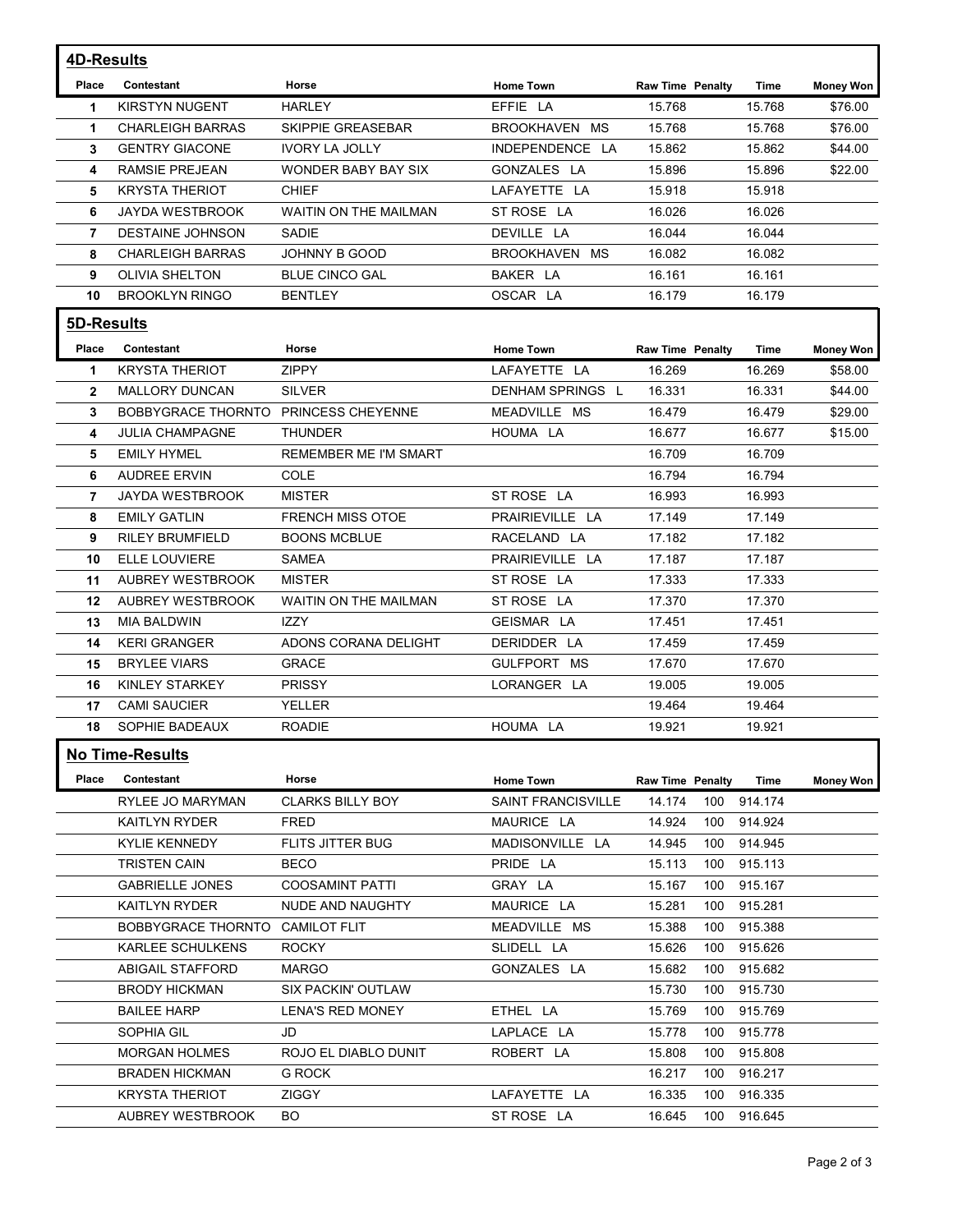| 4D-Results<br>Place<br>$\mathbf 1$<br>$\mathbf 1$<br>3<br>4<br>5<br>6<br>7<br>8<br>9<br>10 | Contestant<br><b>KIRSTYN NUGENT</b><br><b>CHARLEIGH BARRAS</b><br><b>GENTRY GIACONE</b><br>RAMSIE PREJEAN | Horse<br><b>HARLEY</b>                 | <b>Home Town</b>              |                                            |                    |                             |
|--------------------------------------------------------------------------------------------|-----------------------------------------------------------------------------------------------------------|----------------------------------------|-------------------------------|--------------------------------------------|--------------------|-----------------------------|
|                                                                                            |                                                                                                           |                                        |                               |                                            |                    |                             |
|                                                                                            |                                                                                                           |                                        | EFFIE LA                      | <b>Raw Time Penalty</b><br>15.768          | Time<br>15.768     | <b>Money Won</b><br>\$76.00 |
|                                                                                            |                                                                                                           | SKIPPIE GREASEBAR                      | BROOKHAVEN MS                 | 15.768                                     | 15.768             | \$76.00                     |
|                                                                                            |                                                                                                           | <b>IVORY LA JOLLY</b>                  | INDEPENDENCE LA               | 15.862                                     | 15.862             | \$44.00                     |
|                                                                                            |                                                                                                           | WONDER BABY BAY SIX                    | GONZALES LA                   | 15.896                                     | 15.896             | \$22.00                     |
|                                                                                            | <b>KRYSTA THERIOT</b>                                                                                     | <b>CHIEF</b>                           | LAFAYETTE LA                  | 15.918                                     | 15.918             |                             |
|                                                                                            | JAYDA WESTBROOK                                                                                           | WAITIN ON THE MAILMAN                  | ST ROSE LA                    | 16.026                                     | 16.026             |                             |
|                                                                                            | <b>DESTAINE JOHNSON</b>                                                                                   | SADIE                                  | DEVILLE LA                    | 16.044                                     | 16.044             |                             |
|                                                                                            | <b>CHARLEIGH BARRAS</b><br><b>OLIVIA SHELTON</b>                                                          | JOHNNY B GOOD<br><b>BLUE CINCO GAL</b> | BROOKHAVEN MS<br>BAKER LA     | 16.082<br>16.161                           | 16.082<br>16.161   |                             |
|                                                                                            | <b>BROOKLYN RINGO</b>                                                                                     | <b>BENTLEY</b>                         | OSCAR LA                      | 16.179                                     | 16.179             |                             |
| 5D-Results                                                                                 |                                                                                                           |                                        |                               |                                            |                    |                             |
| Place                                                                                      | Contestant                                                                                                | Horse                                  | <b>Home Town</b>              | <b>Raw Time Penalty</b>                    | Time               | <b>Money Won</b>            |
| -1                                                                                         | <b>KRYSTA THERIOT</b>                                                                                     | <b>ZIPPY</b>                           | LAFAYETTE LA                  | 16.269                                     | 16.269             | \$58.00                     |
| $\mathbf{2}$                                                                               | <b>MALLORY DUNCAN</b>                                                                                     | <b>SILVER</b>                          | DENHAM SPRINGS L              | 16.331                                     | 16.331             | \$44.00                     |
| 3                                                                                          | BOBBYGRACE THORNTO PRINCESS CHEYENNE                                                                      |                                        | MEADVILLE MS                  | 16.479                                     | 16.479             | \$29.00                     |
| 4                                                                                          | <b>JULIA CHAMPAGNE</b>                                                                                    | <b>THUNDER</b>                         | HOUMA LA                      | 16.677                                     | 16.677             | \$15.00                     |
| 5                                                                                          | <b>EMILY HYMEL</b>                                                                                        | REMEMBER ME I'M SMART                  |                               | 16.709                                     | 16.709             |                             |
| 6                                                                                          | <b>AUDREE ERVIN</b>                                                                                       | COLE<br><b>MISTER</b>                  |                               | 16.794                                     | 16.794             |                             |
| $7^{\circ}$<br>8                                                                           | JAYDA WESTBROOK<br><b>EMILY GATLIN</b>                                                                    | FRENCH MISS OTOE                       | ST ROSE LA<br>PRAIRIEVILLE LA | 16.993<br>17.149                           | 16.993<br>17.149   |                             |
| 9                                                                                          | <b>RILEY BRUMFIELD</b>                                                                                    | <b>BOONS MCBLUE</b>                    | RACELAND LA                   | 17.182                                     | 17.182             |                             |
| 10                                                                                         | ELLE LOUVIERE                                                                                             | SAMEA                                  | PRAIRIEVILLE LA               | 17.187                                     | 17.187             |                             |
|                                                                                            | 11 AUBREY WESTBROOK                                                                                       | MISTER                                 | ST ROSE LA                    | 17.333                                     | 17.333             |                             |
|                                                                                            | 12 AUBREY WESTBROOK                                                                                       | WAITIN ON THE MAILMAN                  | ST ROSE LA                    | 17.370                                     | 17.370             |                             |
|                                                                                            | 13 MIA BALDWIN                                                                                            | IZZY                                   | GEISMAR LA                    | 17.451                                     | 17.451             |                             |
|                                                                                            | 14 KERI GRANGER                                                                                           | ADONS CORANA DELIGHT                   | DERIDDER LA                   | 17.459                                     | 17.459             |                             |
|                                                                                            | 15 BRYLEE VIARS<br>16 KINLEY STARKEY                                                                      | <b>GRACE</b><br><b>PRISSY</b>          | GULFPORT MS<br>LORANGER LA    | 17.670<br>19.005                           | 17.670<br>19.005   |                             |
|                                                                                            | 17 CAMI SAUCIER                                                                                           | YELLER                                 |                               | 19.464                                     | 19.464             |                             |
|                                                                                            | 18 SOPHIE BADEAUX                                                                                         | ROADIE                                 | HOUMA LA                      | 19.921                                     | 19.921             |                             |
|                                                                                            | <b>No Time-Results</b>                                                                                    |                                        |                               |                                            |                    |                             |
|                                                                                            | <b>Place Contestant</b>                                                                                   | Horse                                  | <b>Home Town</b>              | <b>Raw Time Penalty</b>                    | Time               | <b>Money Won</b>            |
|                                                                                            | RYLEE JO MARYMAN                                                                                          | <b>CLARKS BILLY BOY</b>                | <b>SAINT FRANCISVILLE</b>     | 14.174 100 914.174                         |                    |                             |
|                                                                                            | KAITLYN RYDER                                                                                             | FRED                                   | MAURICE LA                    | 14.924                                     | 100 914.924        |                             |
|                                                                                            | <b>KYLIE KENNEDY</b>                                                                                      | <b>FLITS JITTER BUG</b>                | MADISONVILLE LA               | 14.945                                     | 100 914.945        |                             |
|                                                                                            | <b>TRISTEN CAIN</b>                                                                                       | <b>BECO</b>                            | PRIDE LA                      | 15.113<br>100                              | 915.113            |                             |
|                                                                                            | <b>GABRIELLE JONES</b>                                                                                    | <b>COOSAMINT PATTI</b>                 | GRAY LA                       | 15.167                                     | 100 915.167        |                             |
|                                                                                            | <b>KAITLYN RYDER</b><br>BOBBYGRACE THORNTO CAMILOT FLIT                                                   | NUDE AND NAUGHTY                       | MAURICE LA                    | 15.281<br>100<br>15.388                    | 915.281<br>915.388 |                             |
|                                                                                            | KARLEE SCHULKENS                                                                                          | <b>ROCKY</b>                           | MEADVILLE MS<br>SLIDELL LA    | 100<br>15.626<br>100                       | 915.626            |                             |
|                                                                                            | <b>ABIGAIL STAFFORD</b>                                                                                   | <b>MARGO</b>                           | GONZALES LA                   | 15.682<br>100                              | 915.682            |                             |
|                                                                                            | <b>BRODY HICKMAN</b>                                                                                      | <b>SIX PACKIN' OUTLAW</b>              |                               | 15.730                                     | 100 915.730        |                             |
|                                                                                            | <b>BAILEE HARP</b>                                                                                        | <b>LENA'S RED MONEY</b>                | ETHEL LA                      | 15.769<br>100                              | 915.769            |                             |
|                                                                                            | SOPHIA GIL                                                                                                | JD                                     | LAPLACE LA                    | 15.778<br>100                              | 915.778            |                             |
|                                                                                            | <b>MORGAN HOLMES</b>                                                                                      | ROJO EL DIABLO DUNIT                   | ROBERT LA                     | 15.808<br>100                              | 915.808            |                             |
|                                                                                            | <b>BRADEN HICKMAN</b>                                                                                     | G ROCK                                 |                               | 16.217  100  916.217                       |                    |                             |
|                                                                                            | <b>KRYSTA THERIOT</b><br>AUBREY WESTBROOK                                                                 | ZIGGY<br>BO.                           | LAFAYETTE LA<br>ST ROSE LA    | 16.335  100  916.335<br>16.645 100 916.645 |                    |                             |